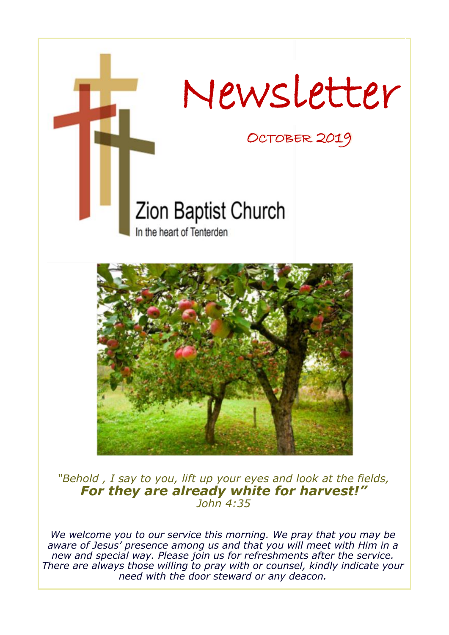



*"Behold , I say to you, lift up your eyes and look at the fields, For they are already white for harvest!" John 4:35*

*We welcome you to our service this morning. We pray that you may be aware of Jesus' presence among us and that you will meet with Him in a new and special way. Please join us for refreshments after the service. There are always those willing to pray with or counsel, kindly indicate your need with the door steward or any deacon.*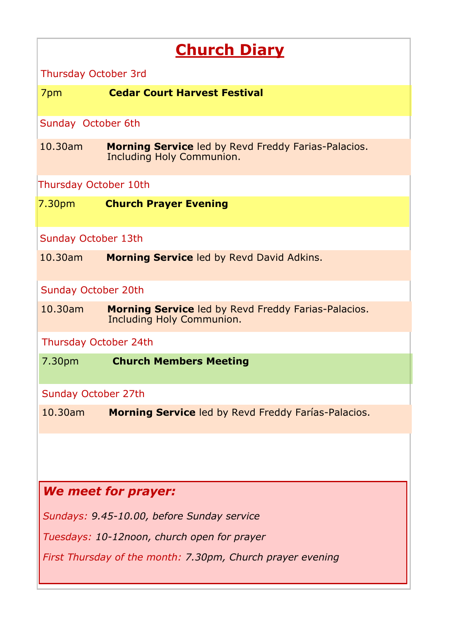# **Church Diary**

Thursday October 3rd

7pm **Cedar Court Harvest Festival**

Sunday October 6th

10.30am **Morning Service** led by Revd Freddy Farias-Palacios. Including Holy Communion.

### Thursday October 10th

7.30pm **Church Prayer Evening**

### Sunday October 13th

10.30am **Morning Service** led by Revd David Adkins.

#### Sunday October 20th

10.30am **Morning Service** led by Revd Freddy Farias-Palacios. Including Holy Communion.

Thursday October 24th

7.30pm **Church Members Meeting**

### Sunday October 27th

10.30am **Morning Service** led by Revd Freddy Farías-Palacios.

### *We meet for prayer:*

*Sundays: 9.45-10.00, before Sunday service*

*Tuesdays: 10-12noon, church open for prayer*

*First Thursday of the month: 7.30pm, Church prayer evening*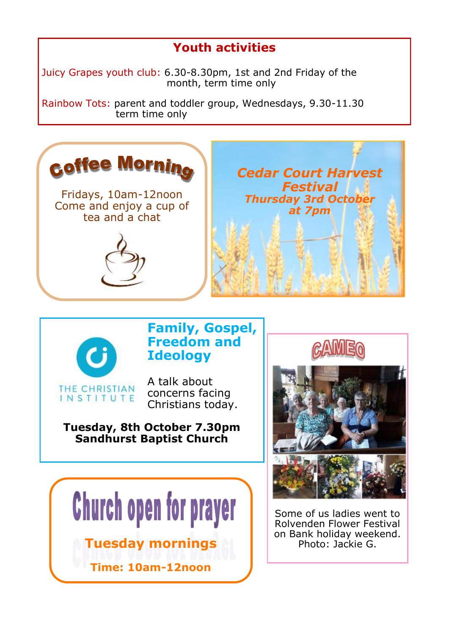# **Youth activities**

Juicy Grapes youth club: 6.30-8.30pm, 1st and 2nd Friday of the month, term time only

Rainbow Tots: parent and toddler group, Wednesdays, 9.30-11.30 term time only





## **Family, Gospel, Freedom and Ideology**

A talk about concerns facing Christians today.

### **Tuesday, 8th October 7.30pm Sandhurst Baptist Church**





Some of us ladies went to Rolvenden Flower Festival on Bank holiday weekend.<br>Photo: Jackie G.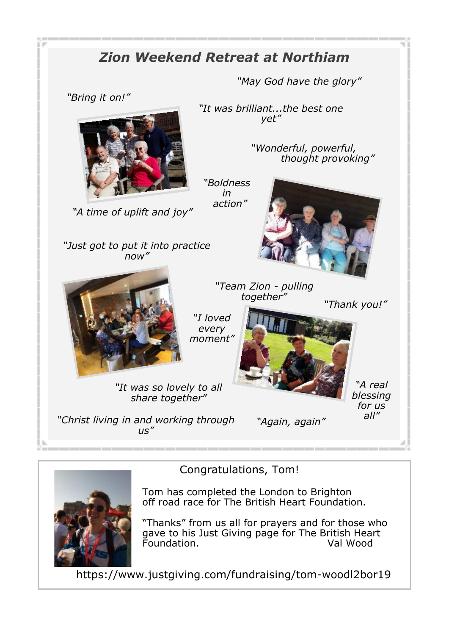# *Zion Weekend Retreat at Northiam*

*"May God have the glory"*

*"Bring it on!"*



*"It was brilliant...the best one yet"*

*"Team Zion - pulling*

*"Wonderful, powerful, thought provoking"*

*"Boldness in action"*

*"Just got to put it into practice now"*

*"A time of uplift and joy"*





*together" "I loved every* 

*moment"*



*"A real blessing for us all"*



*"It was so lovely to all* 

*"Christ living in and working through us"*

*"Again, again"*



Congratulations, Tom!

Tom has completed the London to Brighton off road race for The British Heart Foundation.

"Thanks" from us all for prayers and for those who gave to his Just Giving page for The British Heart Foundation.

https://www.justgiving.com/fundraising/tom-woodl2bor19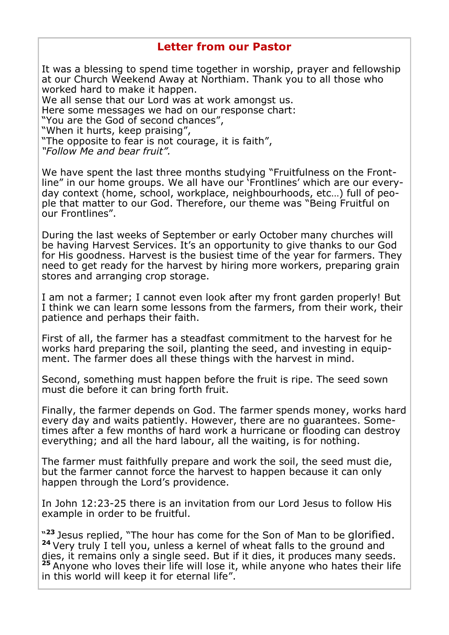### **Letter from our Pastor**

It was a blessing to spend time together in worship, prayer and fellowship at our Church Weekend Away at Northiam. Thank you to all those who worked hard to make it happen.

We all sense that our Lord was at work amongst us.

Here some messages we had on our response chart:

"You are the God of second chances",

"When it hurts, keep praising",

"The opposite to fear is not courage, it is faith",

*"Follow Me and bear fruit".*

We have spent the last three months studying "Fruitfulness on the Frontline" in our home groups. We all have our 'Frontlines' which are our everyday context (home, school, workplace, neighbourhoods, etc…) full of people that matter to our God. Therefore, our theme was "Being Fruitful on our Frontlines".

During the last weeks of September or early October many churches will be having Harvest Services. It's an opportunity to give thanks to our God for His goodness. Harvest is the busiest time of the year for farmers. They need to get ready for the harvest by hiring more workers, preparing grain stores and arranging crop storage.

I am not a farmer; I cannot even look after my front garden properly! But I think we can learn some lessons from the farmers, from their work, their patience and perhaps their faith.

First of all, the farmer has a steadfast commitment to the harvest for he works hard preparing the soil, planting the seed, and investing in equipment. The farmer does all these things with the harvest in mind.

Second, something must happen before the fruit is ripe. The seed sown must die before it can bring forth fruit.

Finally, the farmer depends on God. The farmer spends money, works hard every day and waits patiently. However, there are no guarantees. Sometimes after a few months of hard work a hurricane or flooding can destroy everything; and all the hard labour, all the waiting, is for nothing.

The farmer must faithfully prepare and work the soil, the seed must die, but the farmer cannot force the harvest to happen because it can only happen through the Lord's providence.

In John 12:23-25 there is an invitation from our Lord Jesus to follow His example in order to be fruitful.

"<sup>23</sup> Jesus replied, "The hour has come for the Son of Man to be glorified. **<sup>24</sup>** Very truly I tell you, unless a kernel of wheat falls to the ground and dies, it remains only a single seed. But if it dies, it produces many seeds. **<sup>25</sup>** Anyone who loves their life will lose it, while anyone who hates their life in this world will keep it for eternal life".